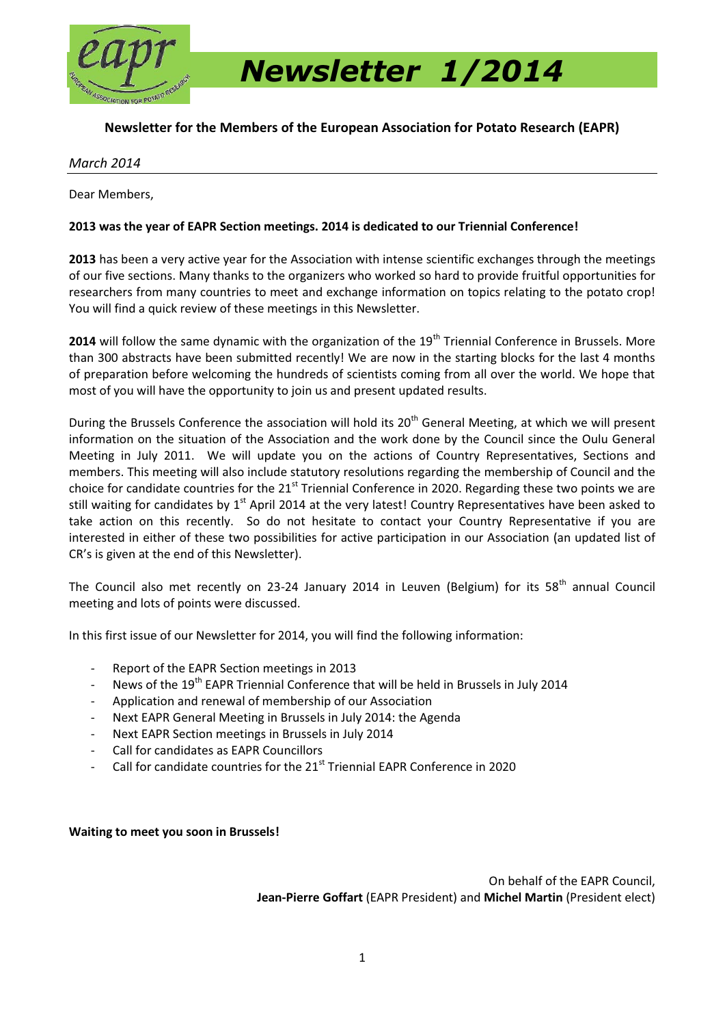

 *Newsletter 1/2014* 

## **Newsletter for the Members of the European Association for Potato Research (EAPR)**

#### *March 2014*

Dear Members,

### **2013 was the year of EAPR Section meetings. 2014 is dedicated to our Triennial Conference!**

**2013** has been a very active year for the Association with intense scientific exchanges through the meetings of our five sections. Many thanks to the organizers who worked so hard to provide fruitful opportunities for researchers from many countries to meet and exchange information on topics relating to the potato crop! You will find a quick review of these meetings in this Newsletter.

**2014** will follow the same dynamic with the organization of the 19<sup>th</sup> Triennial Conference in Brussels. More than 300 abstracts have been submitted recently! We are now in the starting blocks for the last 4 months of preparation before welcoming the hundreds of scientists coming from all over the world. We hope that most of you will have the opportunity to join us and present updated results.

During the Brussels Conference the association will hold its 20<sup>th</sup> General Meeting, at which we will present information on the situation of the Association and the work done by the Council since the Oulu General Meeting in July 2011. We will update you on the actions of Country Representatives, Sections and members. This meeting will also include statutory resolutions regarding the membership of Council and the choice for candidate countries for the  $21^{st}$  Triennial Conference in 2020. Regarding these two points we are still waiting for candidates by 1<sup>st</sup> April 2014 at the very latest! Country Representatives have been asked to take action on this recently. So do not hesitate to contact your Country Representative if you are interested in either of these two possibilities for active participation in our Association (an updated list of CR's is given at the end of this Newsletter).

The Council also met recently on 23-24 January 2014 in Leuven (Belgium) for its 58<sup>th</sup> annual Council meeting and lots of points were discussed.

In this first issue of our Newsletter for 2014, you will find the following information:

- Report of the EAPR Section meetings in 2013
- News of the 19<sup>th</sup> EAPR Triennial Conference that will be held in Brussels in July 2014
- Application and renewal of membership of our Association
- Next EAPR General Meeting in Brussels in July 2014: the Agenda
- Next EAPR Section meetings in Brussels in July 2014
- Call for candidates as EAPR Councillors
- Call for candidate countries for the 21<sup>st</sup> Triennial EAPR Conference in 2020

**Waiting to meet you soon in Brussels!** 

On behalf of the EAPR Council, **Jean-Pierre Goffart** (EAPR President) and **Michel Martin** (President elect)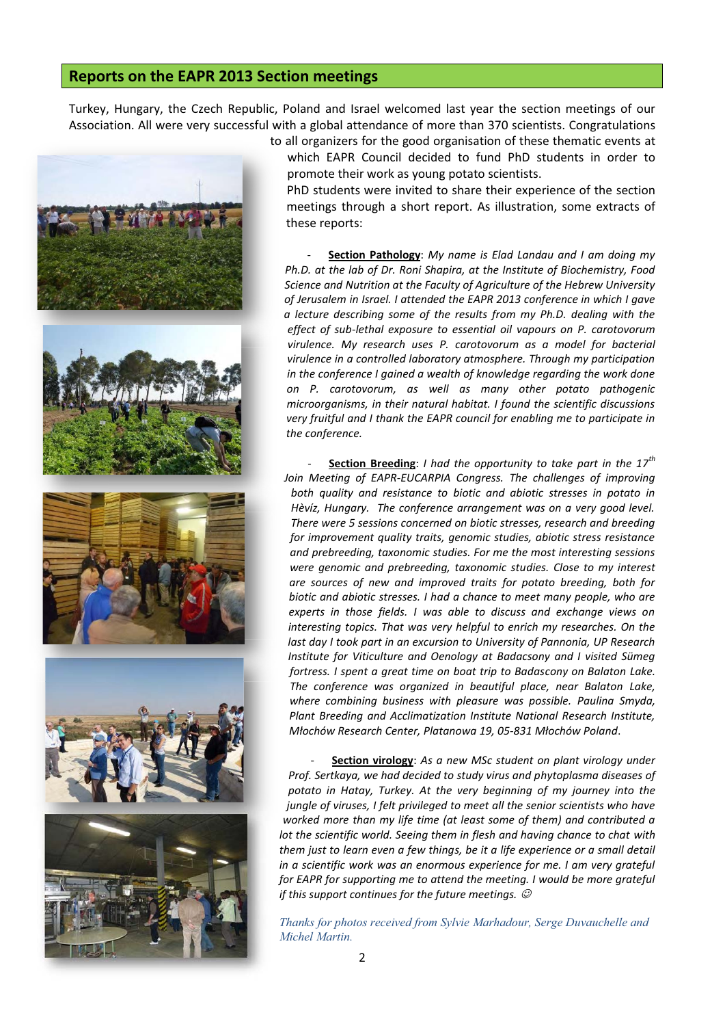## **Reports on the EAPR 2013 Section meetings**

Turkey, Hungary, the Czech Republic, Poland and Israel welcomed last year the section meetings of our Association. All were very successful with a global attendance of more than 370 scientists. Congratulations



to all organizers for the good organisation of these thematic events at which EAPR Council decided to fund PhD students in order to promote their work as young potato scientists.

PhD students were invited to share their experience of the section meetings through a short report. As illustration, some extracts of these reports:

- **Section Pathology**: *My name is Elad Landau and I am doing my Ph.D. at the lab of Dr. Roni Shapira, at the Institute of Biochemistry, Food Science and Nutrition at the Faculty of Agriculture of the Hebrew University of Jerusalem in Israel. I attended the EAPR 2013 conference in which I gave a lecture describing some of the results from my Ph.D. dealing with the effect of sub-lethal exposure to essential oil vapours on P. carotovorum virulence. My research uses P. carotovorum as a model for bacterial virulence in a controlled laboratory atmosphere. Through my participation in the conference I gained a wealth of knowledge regarding the work done on P. carotovorum, as well as many other potato pathogenic microorganisms, in their natural habitat. I found the scientific discussions very fruitful and I thank the EAPR council for enabling me to participate in the conference.*

- **Section Breeding**: *I had the opportunity to take part in the 17th* Join Meeting of EAPR-EUCARPIA Congress. The challenges of improving *both quality and resistance to biotic and abiotic stresses in potato in Hèvíz, Hungary. The conference arrangement was on a very good level. There were 5 sessions concerned on biotic stresses, research and breeding for improvement quality traits, genomic studies, abiotic stress resistance and prebreeding, taxonomic studies. For me the most interesting sessions were genomic and prebreeding, taxonomic studies. Close to my interest are sources of new and improved traits for potato breeding, both for biotic and abiotic stresses. I had a chance to meet many people, who are experts in those fields. I was able to discuss and exchange views on interesting topics. That was very helpful to enrich my researches. On the last day I took part in an excursion to University of Pannonia, UP Research Institute for Viticulture and Oenology at Badacsony and I visited Sümeg fortress. I spent a great time on boat trip to Badascony on Balaton Lake. The conference was organized in beautiful place, near Balaton Lake, where combining business with pleasure was possible. Paulina Smyda, Plant Breeding and Acclimatization Institute National Research Institute, Młochów Research Center, Platanowa 19, 05-831 Młochów Poland*.

**Section virology**: As a new MSc student on plant virology under *Prof. Sertkaya, we had decided to study virus and phytoplasma diseases of potato in Hatay, Turkey. At the very beginning of my journey into the jungle of viruses, I felt privileged to meet all the senior scientists who have worked more than my life time (at least some of them) and contributed a lot the scientific world. Seeing them in flesh and having chance to chat with them just to learn even a few things, be it a life experience or a small detail in a scientific work was an enormous experience for me. I am very grateful for EAPR for supporting me to attend the meeting. I would be more grateful if this support continues for the future meetings.*  $\mathcal O$ 

*Thanks for photos received from Sylvie Marhadour, Serge Duvauchelle and Michel Martin.*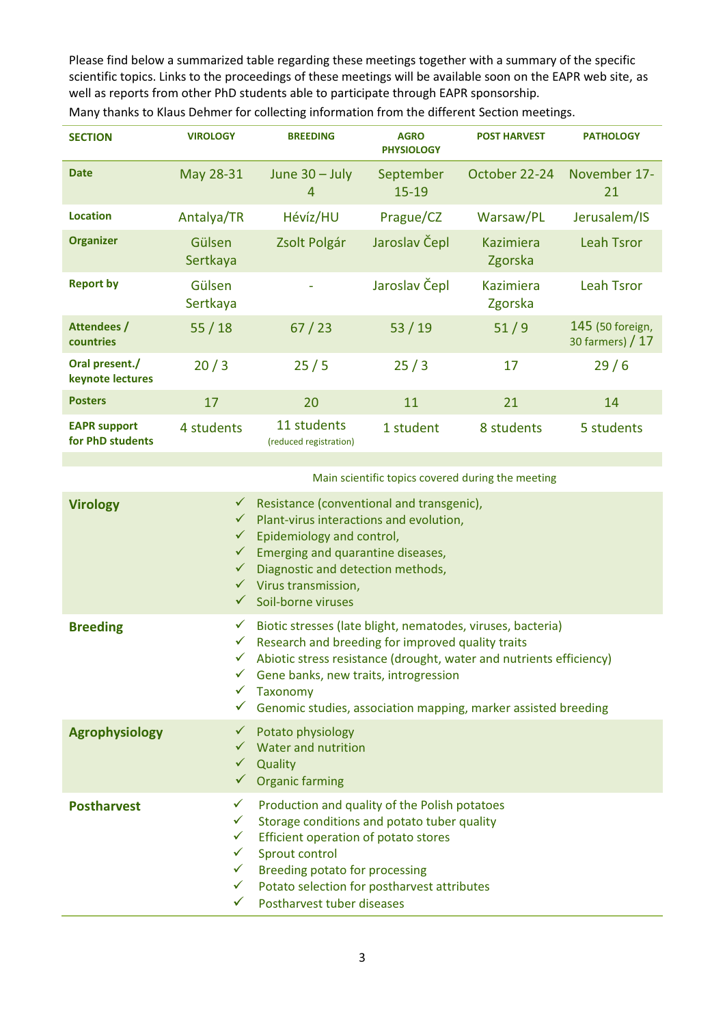Please find below a summarized table regarding these meetings together with a summary of the specific scientific topics. Links to the proceedings of these meetings will be available soon on the EAPR web site, as well as reports from other PhD students able to participate through EAPR sponsorship.

| <b>SECTION</b>                          | <b>VIROLOGY</b>    | <b>BREEDING</b>                       | <b>AGRO</b><br><b>PHYSIOLOGY</b> | <b>POST HARVEST</b>         | <b>PATHOLOGY</b>                      |
|-----------------------------------------|--------------------|---------------------------------------|----------------------------------|-----------------------------|---------------------------------------|
| <b>Date</b>                             | May 28-31          | June $30 -$ July<br>4                 | September<br>$15 - 19$           | October 22-24               | November 17-<br>21                    |
| <b>Location</b>                         | Antalya/TR         | Hévíz/HU                              | Prague/CZ                        | Warsaw/PL                   | Jerusalem/IS                          |
| <b>Organizer</b>                        | Gülsen<br>Sertkaya | Zsolt Polgár                          | Jaroslav Čepl                    | <b>Kazimiera</b><br>Zgorska | <b>Leah Tsror</b>                     |
| <b>Report by</b>                        | Gülsen<br>Sertkaya |                                       | Jaroslav Čepl                    | <b>Kazimiera</b><br>Zgorska | <b>Leah Tsror</b>                     |
| Attendees /<br><b>countries</b>         | 55/18              | 67/23                                 | 53/19                            | $51/9$                      | 145 (50 foreign,<br>30 farmers) $/17$ |
| Oral present./<br>keynote lectures      | 20/3               | 25/5                                  | 25/3                             | 17                          | 29/6                                  |
| <b>Posters</b>                          | 17                 | 20                                    | 11                               | 21                          | 14                                    |
| <b>EAPR support</b><br>for PhD students | 4 students         | 11 students<br>(reduced registration) | 1 student                        | 8 students                  | 5 students                            |

Many thanks to Klaus Dehmer for collecting information from the different Section meetings.

Main scientific topics covered during the meeting

| <b>Virology</b>       | $\checkmark$ Resistance (conventional and transgenic),<br>Plant-virus interactions and evolution,<br>$\checkmark$<br>$\checkmark$ Epidemiology and control,<br>$\checkmark$ Emerging and quarantine diseases,<br>$\checkmark$ Diagnostic and detection methods,<br>$\checkmark$ Virus transmission,<br>$\checkmark$ Soil-borne viruses                                                                      |
|-----------------------|-------------------------------------------------------------------------------------------------------------------------------------------------------------------------------------------------------------------------------------------------------------------------------------------------------------------------------------------------------------------------------------------------------------|
| <b>Breeding</b>       | Biotic stresses (late blight, nematodes, viruses, bacteria)<br>$\checkmark$<br>$\checkmark$ Research and breeding for improved quality traits<br>Abiotic stress resistance (drought, water and nutrients efficiency)<br>$\checkmark$<br>Gene banks, new traits, introgression<br>$\checkmark$<br>Taxonomy<br>$\checkmark$<br>Genomic studies, association mapping, marker assisted breeding<br>$\checkmark$ |
| <b>Agrophysiology</b> | $\checkmark$ Potato physiology<br>$\checkmark$ Water and nutrition<br>Quality<br>$\checkmark$<br>$\checkmark$ Organic farming                                                                                                                                                                                                                                                                               |
| <b>Postharvest</b>    | Production and quality of the Polish potatoes<br>$\checkmark$<br>Storage conditions and potato tuber quality<br>$\checkmark$<br>Efficient operation of potato stores<br>$\checkmark$<br>Sprout control<br>$\checkmark$<br>Breeding potato for processing<br>$\checkmark$<br>Potato selection for postharvest attributes<br>$\checkmark$<br>Postharvest tuber diseases                                       |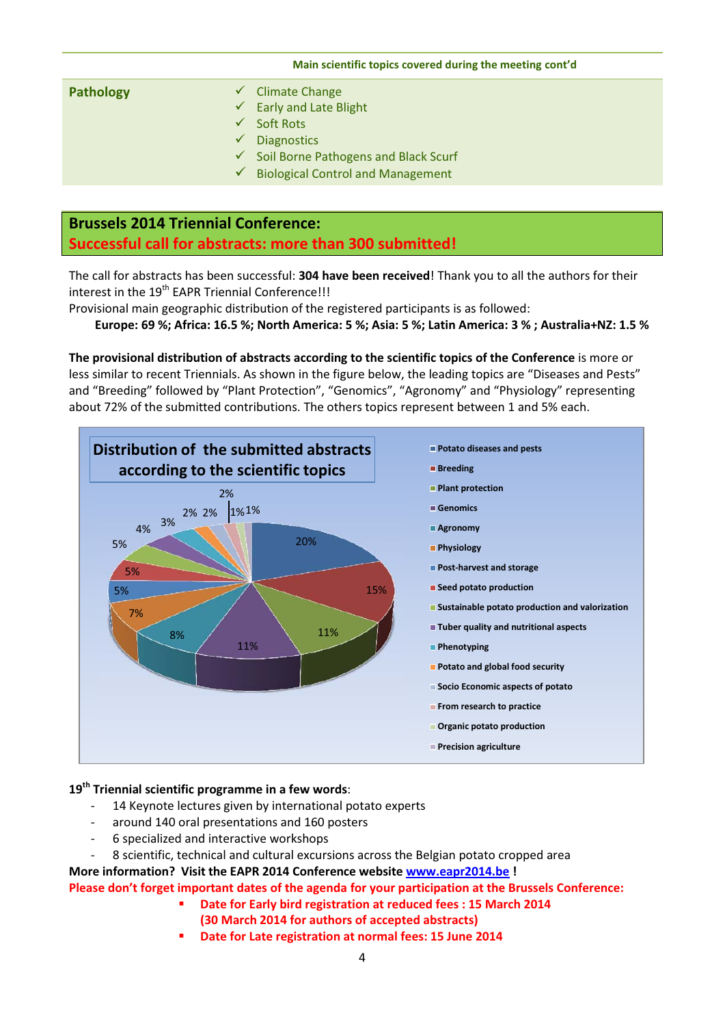# **Main scientific topics covered during the meeting cont'd Pathology Climate Change**  $\checkmark$  Early and Late Blight  $\checkmark$  Soft Rots  $\checkmark$  Diagnostics Soil Borne Pathogens and Black Scurf Biological Control and Management

# **Brussels 2014 Triennial Conference: Successful call for abstracts: more than 300 submitted!**

The call for abstracts has been successful: **304 have been received**! Thank you to all the authors for their interest in the 19<sup>th</sup> EAPR Triennial Conference!!!

Provisional main geographic distribution of the registered participants is as followed:

**Europe: 69 %; Africa: 16.5 %; North America: 5 %; Asia: 5 %; Latin America: 3 % ; Australia+NZ: 1.5 %** 

**The provisional distribution of abstracts according to the scientific topics of the Conference** is more or less similar to recent Triennials. As shown in the figure below, the leading topics are "Diseases and Pests" and "Breeding" followed by "Plant Protection", "Genomics", "Agronomy" and "Physiology" representing about 72% of the submitted contributions. The others topics represent between 1 and 5% each.



#### **19th Triennial scientific programme in a few words**:

- 14 Keynote lectures given by international potato experts
- around 140 oral presentations and 160 posters
- 6 specialized and interactive workshops
- 8 scientific, technical and cultural excursions across the Belgian potato cropped area

**More information? Visit the EAPR 2014 Conference website www.eapr2014.be !** 

**Please don't forget important dates of the agenda for your participation at the Brussels Conference:** 

- **Date for Early bird registration at reduced fees : 15 March 2014** 
	- **(30 March 2014 for authors of accepted abstracts)**
- **Date for Late registration at normal fees: 15 June 2014**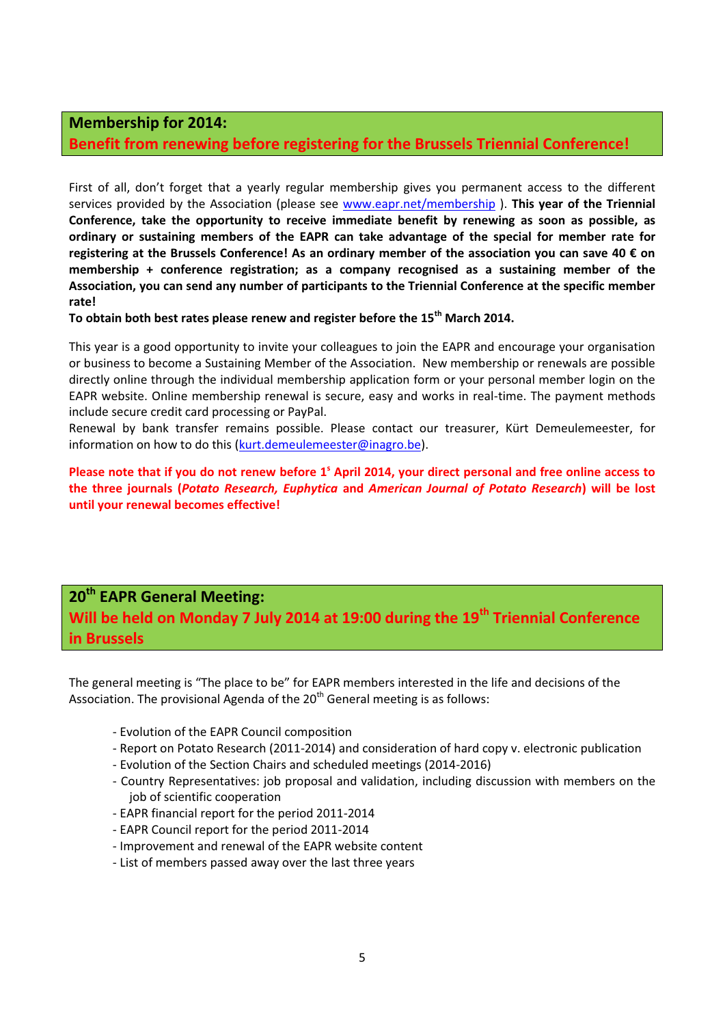## **Membership for 2014:**

## **Benefit from renewing before registering for the Brussels Triennial Conference!**

First of all, don't forget that a yearly regular membership gives you permanent access to the different services provided by the Association (please see www.eapr.net/membership ). **This year of the Triennial Conference, take the opportunity to receive immediate benefit by renewing as soon as possible, as ordinary or sustaining members of the EAPR can take advantage of the special for member rate for registering at the Brussels Conference! As an ordinary member of the association you can save 40 € on membership + conference registration; as a company recognised as a sustaining member of the Association, you can send any number of participants to the Triennial Conference at the specific member rate!** 

### **To obtain both best rates please renew and register before the 15th March 2014.**

This year is a good opportunity to invite your colleagues to join the EAPR and encourage your organisation or business to become a Sustaining Member of the Association. New membership or renewals are possible directly online through the individual membership application form or your personal member login on the EAPR website. Online membership renewal is secure, easy and works in real-time. The payment methods include secure credit card processing or PayPal.

Renewal by bank transfer remains possible. Please contact our treasurer, Kürt Demeulemeester, for information on how to do this (kurt.demeulemeester@inagro.be).

Please note that if you do not renew before 1<sup>°</sup> April 2014, your direct personal and free online access to **the three journals (***Potato Research, Euphytica* **and** *American Journal of Potato Research***) will be lost until your renewal becomes effective!**

# **20<sup>th</sup> EAPR General Meeting:**

**Will be held on Monday 7 July 2014 at 19:00 during the 19th Triennial Conference in Brussels**

The general meeting is "The place to be" for EAPR members interested in the life and decisions of the Association. The provisional Agenda of the  $20<sup>th</sup>$  General meeting is as follows:

- Evolution of the EAPR Council composition
- Report on Potato Research (2011-2014) and consideration of hard copy v. electronic publication
- Evolution of the Section Chairs and scheduled meetings (2014-2016)
- Country Representatives: job proposal and validation, including discussion with members on the job of scientific cooperation
- EAPR financial report for the period 2011-2014
- EAPR Council report for the period 2011-2014
- Improvement and renewal of the EAPR website content
- List of members passed away over the last three years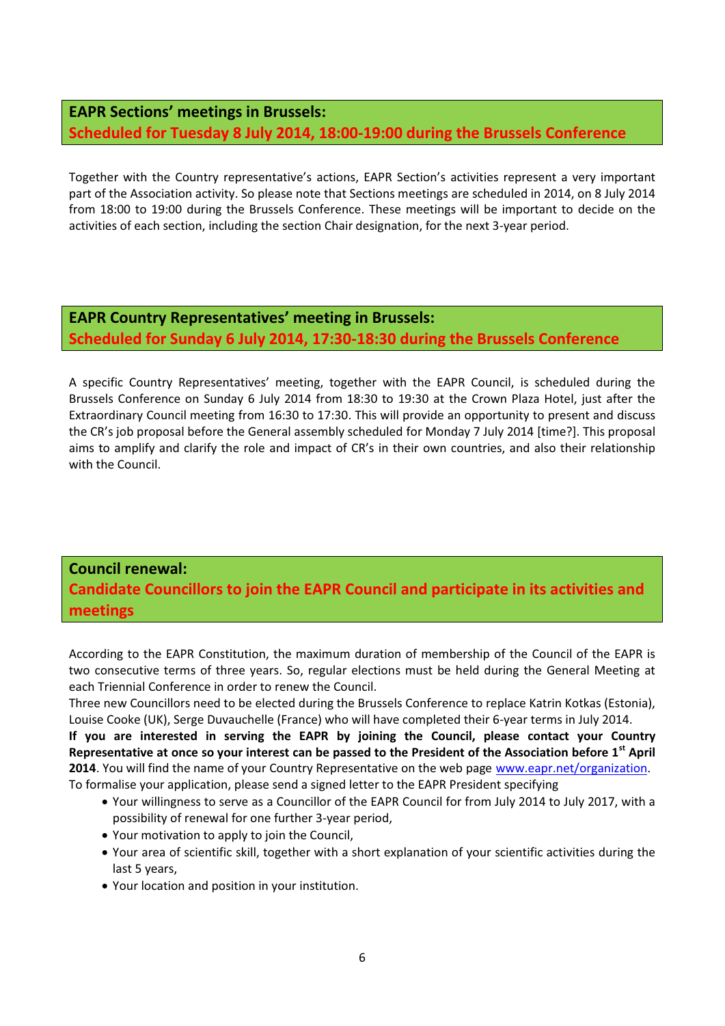# **EAPR Sections' meetings in Brussels: Scheduled for Tuesday 8 July 2014, 18:00-19:00 during the Brussels Conference**

Together with the Country representative's actions, EAPR Section's activities represent a very important part of the Association activity. So please note that Sections meetings are scheduled in 2014, on 8 July 2014 from 18:00 to 19:00 during the Brussels Conference. These meetings will be important to decide on the activities of each section, including the section Chair designation, for the next 3-year period.

**EAPR Country Representatives' meeting in Brussels: Scheduled for Sunday 6 July 2014, 17:30-18:30 during the Brussels Conference** 

A specific Country Representatives' meeting, together with the EAPR Council, is scheduled during the Brussels Conference on Sunday 6 July 2014 from 18:30 to 19:30 at the Crown Plaza Hotel, just after the Extraordinary Council meeting from 16:30 to 17:30. This will provide an opportunity to present and discuss the CR's job proposal before the General assembly scheduled for Monday 7 July 2014 [time?]. This proposal aims to amplify and clarify the role and impact of CR's in their own countries, and also their relationship with the Council.

# **Council renewal: Candidate Councillors to join the EAPR Council and participate in its activities and meetings**

According to the EAPR Constitution, the maximum duration of membership of the Council of the EAPR is two consecutive terms of three years. So, regular elections must be held during the General Meeting at each Triennial Conference in order to renew the Council.

Three new Councillors need to be elected during the Brussels Conference to replace Katrin Kotkas (Estonia), Louise Cooke (UK), Serge Duvauchelle (France) who will have completed their 6-year terms in July 2014.

**If you are interested in serving the EAPR by joining the Council, please contact your Country Representative at once so your interest can be passed to the President of the Association before 1st April 2014**. You will find the name of your Country Representative on the web page www.eapr.net/organization. To formalise your application, please send a signed letter to the EAPR President specifying

- Your willingness to serve as a Councillor of the EAPR Council for from July 2014 to July 2017, with a possibility of renewal for one further 3-year period,
- Your motivation to apply to join the Council,
- Your area of scientific skill, together with a short explanation of your scientific activities during the last 5 years,
- Your location and position in your institution.